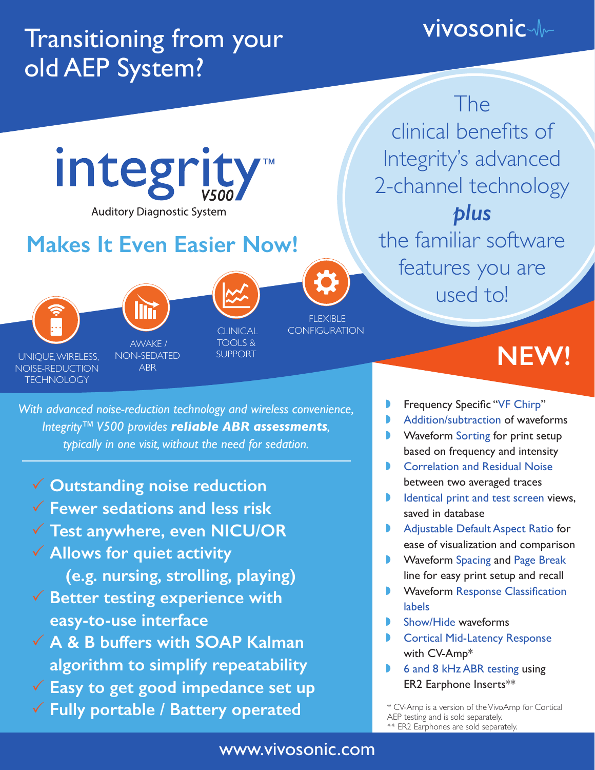## Transitioning from your old AEP System?

## **vivosonic-**

The



*With advanced noise-reduction technology and wireless convenience, Integrity™ V500 provides reliable ABR assessments, typically in one visit, without the need for sedation.*

- P **Outstanding noise reduction**
- P **Fewer sedations and less risk**
- P **Test anywhere, even NICU/OR**
- P **Allows for quiet activity (e.g. nursing, strolling, playing) V** Better testing experience with **easy-to-use interface**
- P **A & B buffers with SOAP Kalman algorithm to simplify repeatability**
- P **Easy to get good impedance set up**
- P **Fully portable / Battery operated**
- » Frequency Specific "VF Chirp"
- » Addition/subtraction of waveforms
- » Waveform Sorting for print setup based on frequency and intensity
- **Correlation and Residual Noise** between two averaged traces
- **IDENTIFY IDENTIFY IS NOT THE INCREDIST IN THE ISLANDING IN THE ISL** saved in database
- » Adjustable Default Aspect Ratio for ease of visualization and comparison
- » Waveform Spacing and Page Break line for easy print setup and recall
- » Waveform Response Classification labels
- » Show/Hide waveforms
- **Cortical Mid-Latency Response** with CV-Amp\*
- » 6 and 8 kHz ABR testing using ER2 Earphone Inserts\*\*

\* CV-Amp is a version of the VivoAmp for Cortical AEP testing and is sold separately. \*\* ER2 Earphones are sold separately.

## www.vivosonic.com